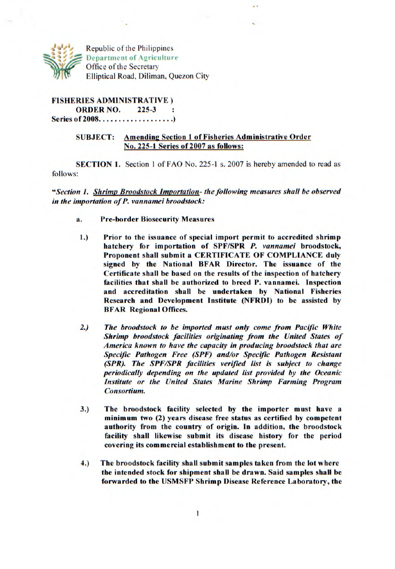

Republic of the Philippines Department of Agriculture Office of the Secretary Elliptical Road, Diliman, Quezon City

**FISHERIES ADMINISTRATIVE) ORDER NO.** 225-3 Series of 2008......................)

## SUBJECT: Amending Section 1 of Fisheries Administrative Order No. 225-1 Series of 2007 as follows:

SECTION 1. Section 1 of FAO No. 225-1 s. 2007 is hereby amended to read as follows:

*"Section 1. Shrimp Broods lock Importation- the following measures shall be observed in the importation of P. vannamei broodstock:* 

- a. Pre-border Biosecurity Measures
- **1.) Prior to the issuance of special import permit to accredited shrimp hatchery for importation of SPF/SPR** *P. vannamei* **broodstock, Proponent shall submit a CERTIFICATE OF COMPLIANCE duly signed** by the National BFAR Director. The issuance of the Certificate shall be based on the results of the inspection of hatchery facilities that shall be authorized to breed P. vannamei. Inspection and accreditation shall be undertaken by National Fisheries Research and **Development Institute** (NFRDI) to be assisted by BFAR Regional Offices.
- *2.) The broodstock to be imported must only come from Pacific White Shrimp broodstock facilities originating from the United States of America known to have the capacity in producing broodstock that are Specific Pathogen Free (SPF) and/or Specific Pathogen Resistant (SPR). The SPF/SPR facilities verified list is subject to change periodically depending on the updated list provided by the Oceanic Institute or the United States Marine Shrimp Farming Program Consortium.*
- 3.) The broodstock facility selected by the importer must have a **minimum two (2) years disease free status as certified by competent**  authority from the country of origin. In addition, the broodstock facility shall likewise submit its disease history for the **period covering its commercial establishment to the present.**
- 4.) The broodstock facility shall submit samples taken from the lot where the intended stock for shipment shall be drawn. Said samples shall be forwarded to the USMSFP Shrimp Disease Reference **Laboratory, the**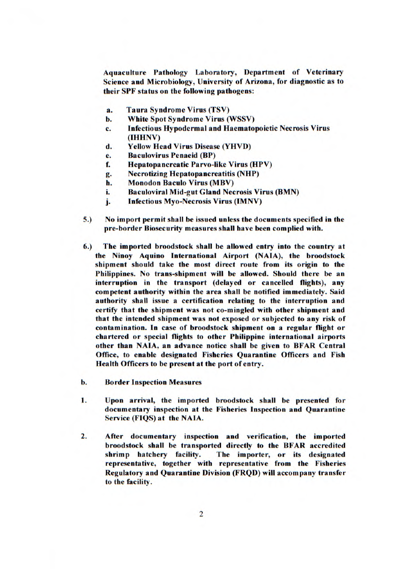Aquaculture Pathology Laboratory, Department of Veterinary Science and Microbiology, University of Arizona, for diagnostic as to their SPF status on the following pathogens:

- a. Taura Syndrome Virus (TSV)
- b. White Spot Syndrome Virus (WSSV)
- C. Infectious Hypodermal and Haematopoietic Necrosis Virus (IHHNV)
- d. Yellow Head Virus Disease (YHVD)
- e. Baculovirus Penaeid (BP)
- f. Hepatopancreatic Parvo-like Virus (HPV)
- g. Necrotizing Hepatopa ncreatitis (NHP)
- h. Monodon Baculo Virus (MBV)
- i. Baculoviral Mid-gut Gland Necrosis Virus (BMN)
- j. Infectious Myo-Necrosis Virus (IMNV)
- 5.) No import permit shall be issued unless the documents specified in the pre-border Biosecurity measures shall have been complied with.
- 6.) The imported broodstock shall be allowed entry into the country at the Ninoy Aquino International Airport (NAIA), the broodstock shipment should take the most direct route from its origin to the Philippines. No trans-shipment will be allowed. Should there be an interruption in the transport (delayed or cancelled flights), any competent authority within the area shall be notified immediately. Said authority shall issue a certification relating to the interruption and certify that the shipment was not co-mingled with other shipment and that the intended shipment was not exposed or subjected to any risk of contamination. In case of broodstock shipment on a regular flight or chartered or special flights to other Philippine international airports other than NAIA, an advance notice shall be given to BFAR Central Office, to enable designated Fisheries Quarantine Officers and Fish Health Officers to be present at the port of entry.
- b. Border Inspection Measures
- 1. Upon arrival, the imported broodstock shall be presented for documentary inspection at the Fisheries Inspection and Quarantine Service (FIQS) at the NAIA.
- 2. After documentary inspection and verification, the imported broodstock shall be transported directly to the BFAR accredited<br>shrimp hatchery facility. The importer, or its designated The importer, or its designated representative, together with representative from the Fisheries Regulatory and **Quarantine Division** (FRQD) will accompany transfer to the facility.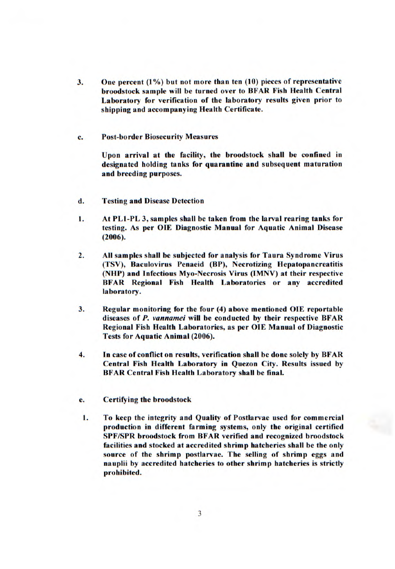- 3. One percent (1%) but not more than ten (10) pieces of representative broodstock sample will be turned over to BFAR Fish Health Central Laboratory for verification of the laboratory results given prior to shipping and accompanying Health Certificate.
- C. Post-border Biosecurity Measures

Upon arrival at the facility, the broodstock shall be confined in designated holding tanks for quarantine and subsequent maturation and breeding purposes.

- d. Testing and Disease Detection
- 1. At PL1-PL 3, samples shall be taken from the larval rearing tanks for testing. As per OlE Diagnostic Manual for Aquatic Animal Disease (2006).
- 2. All samples shall be subjected for analysis for Taura Syndrome Virus (TSV), Baculovirus Penaeid (BP), Necrotizing Hepatopancreatitis (NHP) and Infectious Myo-Necrosis Virus (IMNV) at their respective BFAR Regional Fish Health Laboratories or any accredited laboratory.
- 3. Regular monitoring for the four (4) above mentioned OlE reportable diseases of *P. vannamei will* be conducted by their respective BFAR Regional Fish Health Laboratories, as per OlE Manual of Diagnostic Tests for Aquatic Animal (2006).
- 4. In case of conflict on results, verification shall be done solely by BFAR Central Fish Health Laboratory in Quezon City. Results issued by BFAR Central Fish Health Laboratory shall be final.
- e. Certifying the broodstock
- 1. To keep the integrity and Quality of Postlarvae used for commercial production in different farming systems, only the original certified SPF/SPR broodstock from BFAR verified and recognized broodstock facilities and stocked at accredited shrimp hatcheries shall be the only source of the shrimp postlarvae. The selling of shrimp eggs and nauplii by accredited hatcheries to other shrimp hatcheries is strictly prohibited.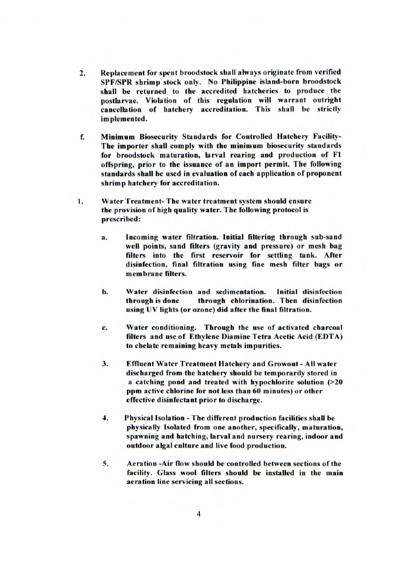- 2. Replacement for spent broodstock shall always originate from verified SPF/SPR shrimp stock only. No Philippine island-born broodstock shall be returned to the accredited hatcheries to produce the postlarvae. Violation of this regulation will warrant outright cancellation of hatchery accreditation. This shall be strictly implemented.
- E Minimum Biosecurity Standards for Controlled Hatchery Facility-The importer shall comply with the minimum biosecurity standards for broodstock maturation, larval rearing and production of F1 offspring, prior to the issuance of an import permit. The following standards shall be used in evaluation of each application of proponent shrimp hatchery for accreditation.
- 1. Water Treatment- The water treatment system should ensure the provision of high quality water. The following protocol is prescribed:
	- a. Incoming water filtration. Initial filtering through sub-sand well points, sand filters (gravity and pressure) or mesh bag filters into the first reservoir for settling tank. After disinfection, final filtration using fine mesh filter bags or membrane filters.
	- b. Water disinfection and sedimentation. Initial disinfection through is done through chlorination. Then disinfection using UV lights (or ozone) did after the final filtration.
	- C. Water conditioning. Through the use of activated charcoal filters and use of Ethylene Diamine Tetra Acetic Acid (EDTA) to chelate remaining heavy metals impurities.
	- 3. Effluent Water Treatment Hatchery and Growout All water discharged from the hatchery should be temporarily stored in a catching pond and treated with hypochlorite solution (>20 ppm active chlorine for not less than 60 minutes) or other effective disinfectant prior to discharge.
	- 4. Physical Isolation The different production facilities shall be physically Isolated from one another, specifically, maturation, spawning and hatching, larval and nursery rearing, indoor and outdoor algal culture and live food production.
	- 5. Aeration -Air flow should be controlled between sections of the facility. Glass wool filters should be installed in the main aeration line servicing all sections.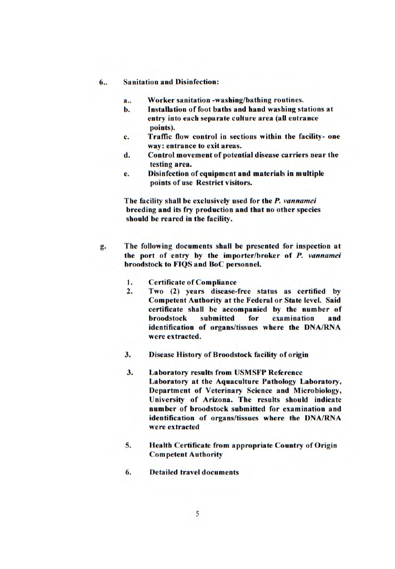## 6.. Sanitation and Disinfection:

- a.. Worker sanitation -washing/bathing routines.
- b. Installation of foot baths and hand washing stations at entry into each separate culture area (all entrance points).
- C. Traffic flow control in sections within the facility- one way: entrance to exit areas.
- d. Control movement of potential disease carriers near the testing area.
- e. Disinfection of equipment and materials in multiple points of use Restrict visitors.

The facility shall be exclusively used for the *P.* vannamei breeding and its fry production and that no other species should be reared in the facility.

- g. The following documents shall be presented for inspection at the port of entry by the importer/broker of *P.* vannamei broodstock to FIQS and BoC personnel.
	- 1. Certificate of Compliance<br>2. Two (2) years disease-
	- Two (2) years disease-free status as certified by Competent Authority at the Federal or State level. Said certificate shall be accompanied by the number of examination and identification of organs/tissues where the DNA/RNA were extracted.
	- 3. Disease History of Broodstock facility of origin
	- 3. Laboratory results from USMSFP Reference Laboratory at the Aquaculture Pathology Laboratory, Department of Veterinary Science and Microbiology, University of Arizona. The results should indicate number of broodstock submitted for examination and identification of organs/tissues where the DNA/RNA were extracted
	- S. Health Certificate from appropriate Country of Origin Competent Authority
	- 6. Detailed travel documents